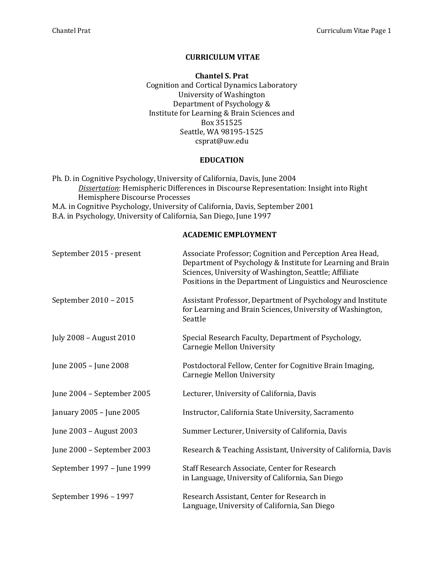## **CURRICULUM VITAE**

**Chantel S. Prat** Cognition and Cortical Dynamics Laboratory University of Washington Department of Psychology & Institute for Learning & Brain Sciences and Box 351525 Seattle, WA 98195-1525 csprat@uw.edu

## **EDUCATION**

Ph. D. in Cognitive Psychology, University of California, Davis, June 2004 **Dissertation:** Hemispheric Differences in Discourse Representation: Insight into Right Hemisphere Discourse Processes M.A. in Cognitive Psychology, University of California, Davis, September 2001 B.A. in Psychology, University of California, San Diego, June 1997

## **ACADEMIC EMPLOYMENT**

| September 2015 - present   | Associate Professor; Cognition and Perception Area Head,<br>Department of Psychology & Institute for Learning and Brain<br>Sciences, University of Washington, Seattle; Affiliate<br>Positions in the Department of Linguistics and Neuroscience |
|----------------------------|--------------------------------------------------------------------------------------------------------------------------------------------------------------------------------------------------------------------------------------------------|
| September 2010 - 2015      | Assistant Professor, Department of Psychology and Institute<br>for Learning and Brain Sciences, University of Washington,<br>Seattle                                                                                                             |
| July 2008 - August 2010    | Special Research Faculty, Department of Psychology,<br>Carnegie Mellon University                                                                                                                                                                |
| June 2005 - June 2008      | Postdoctoral Fellow, Center for Cognitive Brain Imaging,<br>Carnegie Mellon University                                                                                                                                                           |
| June 2004 - September 2005 | Lecturer, University of California, Davis                                                                                                                                                                                                        |
| January 2005 - June 2005   | Instructor, California State University, Sacramento                                                                                                                                                                                              |
| June 2003 - August 2003    | Summer Lecturer, University of California, Davis                                                                                                                                                                                                 |
| June 2000 - September 2003 | Research & Teaching Assistant, University of California, Davis                                                                                                                                                                                   |
| September 1997 - June 1999 | Staff Research Associate, Center for Research<br>in Language, University of California, San Diego                                                                                                                                                |
| September 1996 - 1997      | Research Assistant, Center for Research in<br>Language, University of California, San Diego                                                                                                                                                      |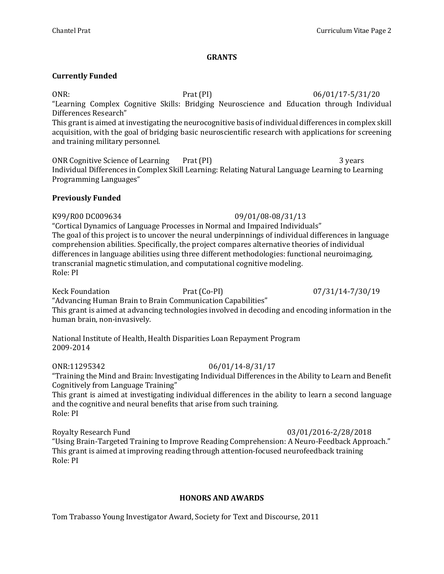### **GRANTS**

## **Currently Funded**

ONR: Prat (PI) 06/01/17-5/31/20 "Learning Complex Cognitive Skills: Bridging Neuroscience and Education through Individual Differences Research" This grant is aimed at investigating the neurocognitive basis of individual differences in complex skill

acquisition, with the goal of bridging basic neuroscientific research with applications for screening and training military personnel.

ONR Cognitive Science of Learning Prat (PI) 2 and 2 years 3 years 3 Individual Differences in Complex Skill Learning: Relating Natural Language Learning to Learning Programming Languages"

## **Previously Funded**

K99/R00 DC009634 09/01/08-08/31/13 "Cortical Dynamics of Language Processes in Normal and Impaired Individuals" The goal of this project is to uncover the neural underpinnings of individual differences in language comprehension abilities. Specifically, the project compares alternative theories of individual differences in language abilities using three different methodologies: functional neuroimaging, transcranial magnetic stimulation, and computational cognitive modeling. Role: PI

Keck Foundation **Prat** (Co-PI) 07/31/14-7/30/19

"Advancing Human Brain to Brain Communication Capabilities"

This grant is aimed at advancing technologies involved in decoding and encoding information in the human brain, non-invasively.

National Institute of Health, Health Disparities Loan Repayment Program 2009-2014

# ONR:11295342 06/01/14-8/31/17

"Training the Mind and Brain: Investigating Individual Differences in the Ability to Learn and Benefit Cognitively from Language Training"

This grant is aimed at investigating individual differences in the ability to learn a second language and the cognitive and neural benefits that arise from such training. Role: PI

Royalty Research Fund **12000** 12000 12000 12000 12000 12000 12000 12000 12000 12000 12000 12000 12000 12000 120

"Using Brain-Targeted Training to Improve Reading Comprehension: A Neuro-Feedback Approach." This grant is aimed at improving reading through attention-focused neurofeedback training Role: PI

# **HONORS AND AWARDS**

Tom Trabasso Young Investigator Award, Society for Text and Discourse, 2011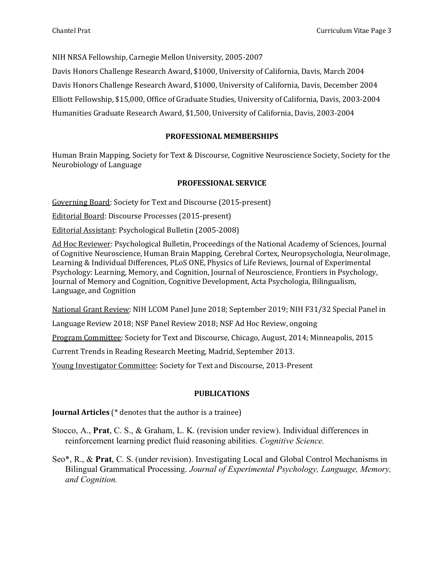NIH NRSA Fellowship, Carnegie Mellon University, 2005-2007

Davis Honors Challenge Research Award, \$1000, University of California, Davis, March 2004 Davis Honors Challenge Research Award, \$1000, University of California, Davis, December 2004 Elliott Fellowship, \$15,000, Office of Graduate Studies, University of California, Davis, 2003-2004 Humanities Graduate Research Award, \$1,500, University of California, Davis, 2003-2004

## **PROFESSIONAL MEMBERSHIPS**

Human Brain Mapping, Society for Text & Discourse, Cognitive Neuroscience Society, Society for the Neurobiology of Language

## **PROFESSIONAL SERVICE**

Governing Board: Society for Text and Discourse (2015-present)

Editorial Board: Discourse Processes (2015-present)

Editorial Assistant: Psychological Bulletin (2005-2008)

Ad Hoc Reviewer: Psychological Bulletin, Proceedings of the National Academy of Sciences, Journal of Cognitive Neuroscience, Human Brain Mapping, Cerebral Cortex, Neuropsychologia, NeuroImage, Learning & Individual Differences, PLoS ONE, Physics of Life Reviews, Journal of Experimental Psychology: Learning, Memory, and Cognition, Journal of Neuroscience, Frontiers in Psychology, Journal of Memory and Cognition, Cognitive Development, Acta Psychologia, Bilingualism, Language, and Cognition

National Grant Review: NIH LCOM Panel June 2018; September 2019; NIH F31/32 Special Panel in

Language Review 2018; NSF Panel Review 2018; NSF Ad Hoc Review, ongoing

Program Committee: Society for Text and Discourse, Chicago, August, 2014; Minneapolis, 2015

Current Trends in Reading Research Meeting, Madrid, September 2013.

Young Investigator Committee: Society for Text and Discourse, 2013-Present

### **PUBLICATIONS**

**Journal Articles** (\* denotes that the author is a trainee)

Stocco, A., **Prat**, C. S., & Graham, L. K. (revision under review). Individual differences in reinforcement learning predict fluid reasoning abilities. *Cognitive Science.*

Seo\*, R., & **Prat**, C. S. (under revision). Investigating Local and Global Control Mechanisms in Bilingual Grammatical Processing. *Journal of Experimental Psychology, Language, Memory, and Cognition.*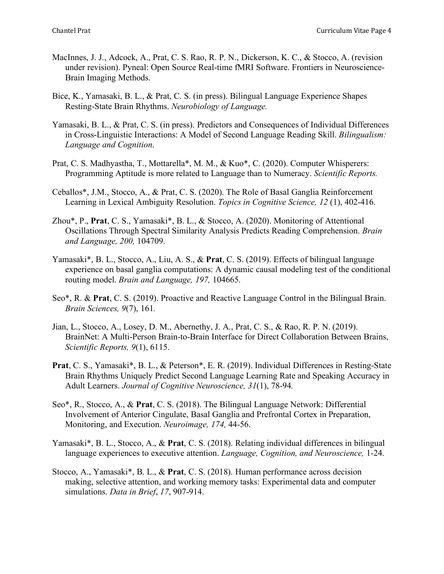- MacInnes, J. J., Adcock, A., Prat, C. S. Rao, R. P. N., Dickerson, K. C., & Stocco, A. (revision under revision). Pyneal: Open Source Real-time fMRI Software. Frontiers in Neuroscience-Brain Imaging Methods.
- Bice, K., Yamasaki, B. L., & Prat, C. S. (in press). Bilingual Language Experience Shapes Resting-State Brain Rhythms. *Neurobiology of Language.*
- Yamasaki, B. L., & Prat, C. S. (in press). Predictors and Consequences of Individual Differences in Cross-Linguistic Interactions: A Model of Second Language Reading Skill. *Bilingualism: Language and Cognition*.
- Prat, C. S. Madhyastha, T., Mottarella\*, M. M., & Kuo\*, C. (2020). Computer Whisperers: Programming Aptitude is more related to Language than to Numeracy. *Scientific Reports.*
- Ceballos\*, J.M., Stocco, A., & Prat, C. S. (2020). The Role of Basal Ganglia Reinforcement Learning in Lexical Ambiguity Resolution. *Topics in Cognitive Science, 12* (1), 402-416.
- Zhou\*, P., **Prat**, C. S., Yamasaki\*, B. L., & Stocco, A. (2020). Monitoring of Attentional Oscillations Through Spectral Similarity Analysis Predicts Reading Comprehension. *Brain and Language, 200,* 104709.
- Yamasaki\*, B. L., Stocco, A., Liu, A. S., & **Prat**, C. S. (2019). Effects of bilingual language experience on basal ganglia computations: A dynamic causal modeling test of the conditional routing model. *Brain and Language, 197,* 104665.
- Seo\*, R. & **Prat**, C. S. (2019). Proactive and Reactive Language Control in the Bilingual Brain. *Brain Sciences, 9*(7), 161*.*
- Jian, L., Stocco, A., Losey, D. M., Abernethy, J. A., Prat, C. S., & Rao, R. P. N. (2019). BrainNet: A Multi-Person Brain-to-Brain Interface for Direct Collaboration Between Brains, *Scientific Reports, 9*(1), 6115.
- **Prat**, C. S., Yamasaki\*, B. L., & Peterson\*, E. R. (2019). Individual Differences in Resting-State Brain Rhythms Uniquely Predict Second Language Learning Rate and Speaking Accuracy in Adult Learners. *Journal of Cognitive Neuroscience, 31*(1), 78-94*.*
- Seo\*, R., Stocco, A., & **Prat**, C. S. (2018). The Bilingual Language Network: Differential Involvement of Anterior Cingulate, Basal Ganglia and Prefrontal Cortex in Preparation, Monitoring, and Execution. *Neuroimage, 174,* 44-56.
- Yamasaki\*, B. L., Stocco, A., & **Prat**, C. S. (2018). Relating individual differences in bilingual language experiences to executive attention. *Language, Cognition, and Neuroscience,* 1-24.
- Stocco, A., Yamasaki\*, B. L., & **Prat**, C. S. (2018). Human performance across decision making, selective attention, and working memory tasks: Experimental data and computer simulations. *Data in Brief*, *17*, 907-914.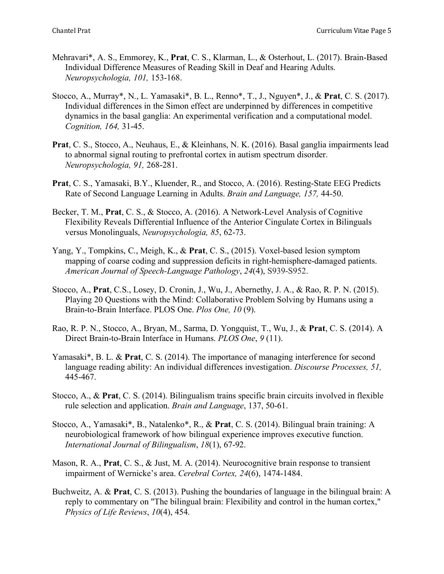- Mehravari\*, A. S., Emmorey, K., **Prat**, C. S., Klarman, L., & Osterhout, L. (2017). Brain-Based Individual Difference Measures of Reading Skill in Deaf and Hearing Adults. *Neuropsychologia, 101,* 153-168.
- Stocco, A., Murray\*, N., L. Yamasaki\*, B. L., Renno\*, T., J., Nguyen\*, J., & **Prat**, C. S. (2017). Individual differences in the Simon effect are underpinned by differences in competitive dynamics in the basal ganglia: An experimental verification and a computational model. *Cognition, 164,* 31-45.
- **Prat**, C. S., Stocco, A., Neuhaus, E., & Kleinhans, N. K. (2016). Basal ganglia impairments lead to abnormal signal routing to prefrontal cortex in autism spectrum disorder. *Neuropsychologia, 91,* 268-281.
- **Prat**, C. S., Yamasaki, B.Y., Kluender, R., and Stocco, A. (2016). Resting-State EEG Predicts Rate of Second Language Learning in Adults. *Brain and Language, 157,* 44-50.
- Becker, T. M., **Prat**, C. S., & Stocco, A. (2016). A Network-Level Analysis of Cognitive Flexibility Reveals Differential Influence of the Anterior Cingulate Cortex in Bilinguals versus Monolinguals, *Neuropsychologia, 85*, 62-73.
- Yang, Y., Tompkins, C., Meigh, K., & **Prat**, C. S., (2015). Voxel-based lesion symptom mapping of coarse coding and suppression deficits in right-hemisphere-damaged patients. *American Journal of Speech-Language Pathology*, *24*(4), S939-S952.
- Stocco, A., **Prat**, C.S., Losey, D. Cronin, J., Wu, J., Abernethy, J. A., & Rao, R. P. N. (2015). Playing 20 Questions with the Mind: Collaborative Problem Solving by Humans using a Brain-to-Brain Interface. PLOS One. *Plos One, 10* (9).
- Rao, R. P. N., Stocco, A., Bryan, M., Sarma, D. Yongquist, T., Wu, J., & **Prat**, C. S. (2014). A Direct Brain-to-Brain Interface in Humans. *PLOS One*, *9* (11).
- Yamasaki\*, B. L. & **Prat**, C. S. (2014). The importance of managing interference for second language reading ability: An individual differences investigation. *Discourse Processes, 51,* 445-467.
- Stocco, A., & **Prat**, C. S. (2014). Bilingualism trains specific brain circuits involved in flexible rule selection and application. *Brain and Language*, 137, 50-61.
- Stocco, A., Yamasaki\*, B., Natalenko\*, R., & **Prat**, C. S. (2014). Bilingual brain training: A neurobiological framework of how bilingual experience improves executive function. *International Journal of Bilingualism*, *18*(1), 67-92.
- Mason, R. A., **Prat**, C. S., & Just, M. A. (2014). Neurocognitive brain response to transient impairment of Wernicke's area. *Cerebral Cortex, 24*(6), 1474-1484.
- Buchweitz, A. & **Prat**, C. S. (2013). Pushing the boundaries of language in the bilingual brain: A reply to commentary on "The bilingual brain: Flexibility and control in the human cortex," *Physics of Life Reviews*, *10*(4), 454.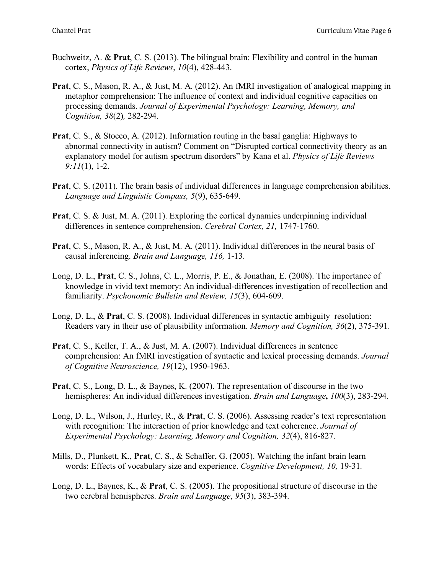- Buchweitz, A. & **Prat**, C. S. (2013). The bilingual brain: Flexibility and control in the human cortex, *Physics of Life Reviews*, *10*(4), 428-443.
- **Prat**, C. S., Mason, R. A., & Just, M. A. (2012). An fMRI investigation of analogical mapping in metaphor comprehension: The influence of context and individual cognitive capacities on processing demands. *Journal of Experimental Psychology: Learning, Memory, and Cognition, 38*(2)*,* 282-294.
- **Prat**, C. S., & Stocco, A. (2012). Information routing in the basal ganglia: Highways to abnormal connectivity in autism? Comment on "Disrupted cortical connectivity theory as an explanatory model for autism spectrum disorders" by Kana et al. *Physics of Life Reviews 9:11*(1), 1-2.
- **Prat**, C. S. (2011). The brain basis of individual differences in language comprehension abilities. *Language and Linguistic Compass, 5*(9), 635-649.
- **Prat**, C. S. & Just, M. A. (2011). Exploring the cortical dynamics underpinning individual differences in sentence comprehension. *Cerebral Cortex, 21,* 1747-1760.
- **Prat**, C. S., Mason, R. A., & Just, M. A. (2011). Individual differences in the neural basis of causal inferencing. *Brain and Language, 116,* 1-13.
- Long, D. L., **Prat**, C. S., Johns, C. L., Morris, P. E., & Jonathan, E. (2008). The importance of knowledge in vivid text memory: An individual-differences investigation of recollection and familiarity. *Psychonomic Bulletin and Review, 15*(3), 604-609.
- Long, D. L., & **Prat**, C. S. (2008). Individual differences in syntactic ambiguity resolution: Readers vary in their use of plausibility information. *Memory and Cognition, 36*(2), 375-391.
- **Prat**, C. S., Keller, T. A., & Just, M. A. (2007). Individual differences in sentence comprehension: An fMRI investigation of syntactic and lexical processing demands. *Journal of Cognitive Neuroscience, 19*(12), 1950-1963.
- **Prat**, C. S., Long, D. L., & Baynes, K. (2007). The representation of discourse in the two hemispheres: An individual differences investigation. *Brain and Language***,** *100*(3), 283-294.
- Long, D. L., Wilson, J., Hurley, R., & **Prat**, C. S. (2006). Assessing reader's text representation with recognition: The interaction of prior knowledge and text coherence. *Journal of Experimental Psychology: Learning, Memory and Cognition, 32*(4), 816-827.
- Mills, D., Plunkett, K., **Prat**, C. S., & Schaffer, G. (2005). Watching the infant brain learn words: Effects of vocabulary size and experience. *Cognitive Development, 10,* 19-31*.*
- Long, D. L., Baynes, K., & **Prat**, C. S. (2005). The propositional structure of discourse in the two cerebral hemispheres. *Brain and Language*, *95*(3), 383-394.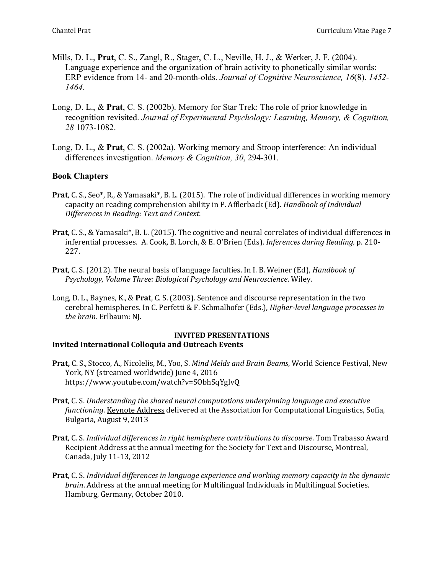- Mills, D. L., **Prat**, C. S., Zangl, R., Stager, C. L., Neville, H. J., & Werker, J. F. (2004). Language experience and the organization of brain activity to phonetically similar words: ERP evidence from 14- and 20-month-olds. *Journal of Cognitive Neuroscience, 16*(8). *1452- 1464.*
- Long, D. L., & **Prat**, C. S. (2002b). Memory for Star Trek: The role of prior knowledge in recognition revisited. *Journal of Experimental Psychology: Learning, Memory, & Cognition, 28* 1073-1082.
- Long, D. L., & **Prat**, C. S. (2002a). Working memory and Stroop interference: An individual differences investigation. *Memory & Cognition, 30*, 294-301.

# **Book Chapters**

- **Prat**, C. S., Seo\*, R., & Yamasaki\*, B. L. (2015). The role of individual differences in working memory capacity on reading comprehension ability in P. Afflerback (Ed). *Handbook of Individual Differences in Reading: Text and Context*.
- **Prat**, C. S., & Yamasaki\*, B. L. (2015). The cognitive and neural correlates of individual differences in inferential processes. A. Cook, B. Lorch, & E. O'Brien (Eds). *Inferences during Reading*, p. 210-227.
- **Prat**, C. S. (2012). The neural basis of language faculties. In I. B. Weiner (Ed), *Handbook of* Psychology, Volume Three: Biological Psychology and Neuroscience. Wiley.
- Long, D. L., Baynes, K., & **Prat**, C. S. (2003). Sentence and discourse representation in the two cerebral hemispheres. In C. Perfetti & F. Schmalhofer (Eds.), *Higher-level language processes in the brain.* Erlbaum: NJ.

# **INVITED PRESENTATIONS Invited International Colloquia and Outreach Events**

- Prat, C. S., Stocco, A., Nicolelis, M., Yoo, S. *Mind Melds and Brain Beams*, World Science Festival, New York, NY (streamed worldwide) June 4, 2016 https://www.youtube.com/watch?v=SObhSqYglvQ
- **Prat**, C. S. Understanding the shared neural computations underpinning language and executive *functioning*. *Keynote Address delivered at the Association for Computational Linguistics, Sofia,* Bulgaria, August 9, 2013
- **Prat**, C. S. *Individual differences in right hemisphere contributions to discourse*. Tom Trabasso Award Recipient Address at the annual meeting for the Society for Text and Discourse, Montreal, Canada, July 11-13, 2012
- **Prat**, C. S. Individual differences in language experience and working memory capacity in the dynamic *brain*. Address at the annual meeting for Multilingual Individuals in Multilingual Societies. Hamburg, Germany, October 2010.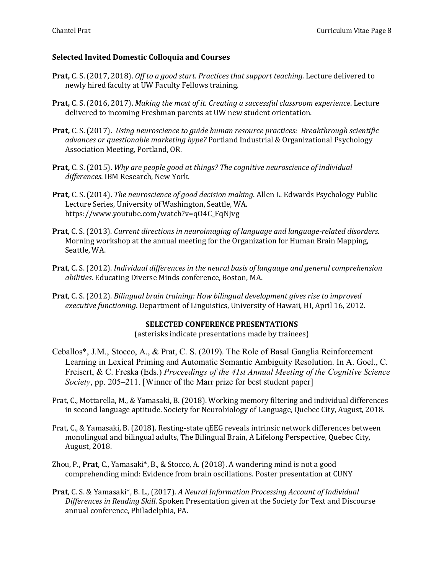# **Selected Invited Domestic Colloquia and Courses**

- **Prat,** C. S. (2017, 2018). *Off to a good start. Practices that support teaching.* Lecture delivered to newly hired faculty at UW Faculty Fellows training.
- **Prat,** C. S. (2016, 2017). *Making the most of it. Creating a successful classroom experience*. Lecture delivered to incoming Freshman parents at UW new student orientation.
- **Prat,** C. S. (2017). *Using neuroscience to guide human resource practices: Breakthrough scientific* davances or questionable marketing hype? Portland Industrial & Organizational Psychology Association Meeting, Portland, OR.
- **Prat,** C. S. (2015). Why are people good at things? The cognitive neuroscience of individual differences. IBM Research, New York.
- **Prat,** C. S. (2014). *The neuroscience of good decision making*. Allen L. Edwards Psychology Public Lecture Series, University of Washington, Seattle, WA. https://www.youtube.com/watch?v=qO4C\_FqNJvg
- **Prat**, C. S. (2013). *Current directions in neuroimaging of language and language-related disorders.* Morning workshop at the annual meeting for the Organization for Human Brain Mapping, Seattle, WA.
- **Prat**, C. S. (2012). *Individual differences in the neural basis of language and general comprehension abilities*. Educating Diverse Minds conference, Boston, MA.
- Prat, C. S. (2012). *Bilingual brain training: How bilingual development gives rise to improved* executive functioning. Department of Linguistics, University of Hawaii, HI, April 16, 2012.

### **SELECTED CONFERENCE PRESENTATIONS**

(asterisks indicate presentations made by trainees)

- Ceballos\*, J.M., Stocco, A., & Prat, C. S. (2019). The Role of Basal Ganglia Reinforcement Learning in Lexical Priming and Automatic Semantic Ambiguity Resolution. In A. Goel., C. Freisert, & C. Freska (Eds.) *Proceedings of the 41st Annual Meeting of the Cognitive Science Society*, pp. 205–211. [Winner of the Marr prize for best student paper]
- Prat, C., Mottarella, M., & Yamasaki, B. (2018). Working memory filtering and individual differences in second language aptitude. Society for Neurobiology of Language, Quebec City, August, 2018.
- Prat, C., & Yamasaki, B. (2018). Resting-state qEEG reveals intrinsic network differences between monolingual and bilingual adults, The Bilingual Brain, A Lifelong Perspective, Quebec City, August, 2018.
- Zhou, P., **Prat**, C., Yamasaki\*, B., & Stocco, A.  $(2018)$ . A wandering mind is not a good comprehending mind: Evidence from brain oscillations. Poster presentation at CUNY
- **Prat**, C. S. & Yamasaki\*, B. L., (2017). *A* Neural Information Processing Account of Individual *Differences in Reading Skill*. Spoken Presentation given at the Society for Text and Discourse annual conference, Philadelphia, PA.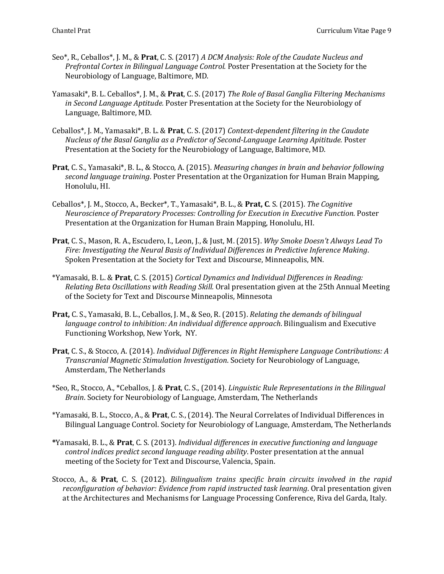- Seo<sup>\*</sup>, R., Ceballos<sup>\*</sup>, J. M., & **Prat**, C. S. (2017) *A DCM Analysis: Role of the Caudate Nucleus and Prefrontal Cortex in Bilingual Language Control.* Poster Presentation at the Society for the Neurobiology of Language, Baltimore, MD.
- Yamasaki\*, B. L. Ceballos\*, J. M., & **Prat**, C. S. (2017) *The Role of Basal Ganglia Filtering Mechanisms* in Second Language Aptitude. Poster Presentation at the Society for the Neurobiology of Language, Baltimore, MD.
- Ceballos<sup>\*</sup>, J. M., Yamasaki<sup>\*</sup>, B. L. & **Prat**, C. S. (2017) *Context-dependent filtering in the Caudate Nucleus of the Basal Ganglia as a Predictor of Second-Language Learning Apititude.* Poster Presentation at the Society for the Neurobiology of Language, Baltimore, MD.
- Prat, C. S., Yamasaki\*, B. L., & Stocco, A. (2015). *Measuring changes in brain and behavior following* second *language training*. Poster Presentation at the Organization for Human Brain Mapping, Honolulu, HI.
- Ceballos\*, J. M., Stocco, A., Becker\*, T., Yamasaki\*, B. L., & Prat, C. S. (2015). *The Cognitive Neuroscience of Preparatory Processes: Controlling for Execution in Executive Function.* Poster Presentation at the Organization for Human Brain Mapping, Honolulu, HI.
- **Prat**, C. S., Mason, R. A., Escudero, I., Leon, J., & Just, M. (2015). *Why Smoke Doesn't Always Lead To* Fire: Investigating the Neural Basis of Individual Differences in Predictive Inference Making. Spoken Presentation at the Society for Text and Discourse, Minneapolis, MN.
- \*Yamasaki, B. L. & **Prat**, C. S. (2015) *Cortical Dynamics and Individual Differences in Reading: Relating Beta Oscillations with Reading Skill.* Oral presentation given at the 25th Annual Meeting of the Society for Text and Discourse Minneapolis, Minnesota
- **Prat,** C. S., Yamasaki, B. L., Ceballos, J. M., & Seo, R. (2015). *Relating the demands of bilingual language control to inhibition: An individual difference approach.* Bilingualism and Executive Functioning Workshop, New York, NY.
- **Prat**, C. S., & Stocco, A. (2014). *Individual Differences in Right Hemisphere Language Contributions: A Transcranial Magnetic Stimulation Investigation*. Society for Neurobiology of Language, Amsterdam, The Netherlands
- \*Seo, R., Stocco, A., \*Ceballos, J. & **Prat**, C. S., (2014). *Linguistic Rule Representations in the Bilingual Brain*. Society for Neurobiology of Language, Amsterdam, The Netherlands
- \*Yamasaki, B. L., Stocco, A., & **Prat**, C. S., (2014). The Neural Correlates of Individual Differences in Bilingual Language Control. Society for Neurobiology of Language, Amsterdam, The Netherlands
- **\***Yamasaki, B. L., & **Prat**, C. S. (2013). *Individual differences in executive functioning and language control indices predict second language reading ability*. Poster presentation at the annual meeting of the Society for Text and Discourse, Valencia, Spain.
- Stocco, A., & Prat, C. S. (2012). *Bilingualism trains specific brain circuits involved in the rapid reconfiguration of behavior: Evidence from rapid instructed task learning*. Oral presentation given at the Architectures and Mechanisms for Language Processing Conference, Riva del Garda, Italy.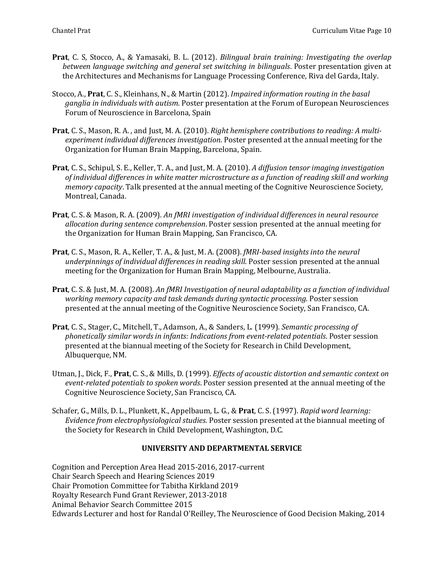- **Prat**, C. S, Stocco, A., & Yamasaki, B. L. (2012). *Bilingual brain training: Investigating the overlap between language switching and general set switching in bilinguals*. Poster presentation given at the Architectures and Mechanisms for Language Processing Conference, Riva del Garda, Italy.
- Stocco, A., Prat, C. S., Kleinhans, N., & Martin (2012). *Impaired information routing in the basal* ganglia in individuals with autism. Poster presentation at the Forum of European Neurosciences Forum of Neuroscience in Barcelona, Spain
- **Prat**, C. S., Mason, R. A., and Just, M. A. (2010). *Right hemisphere contributions to reading: A multi*experiment individual differences investigation. Poster presented at the annual meeting for the Organization for Human Brain Mapping, Barcelona, Spain.
- **Prat**, C. S., Schipul, S. E., Keller, T. A., and Just, M. A. (2010). *A diffusion tensor imaging investigation* of individual differences in white matter microstructure as a function of reading skill and working *memory capacity*. Talk presented at the annual meeting of the Cognitive Neuroscience Society, Montreal, Canada.
- **Prat**, C. S. & Mason, R. A. (2009). An fMRI investigation of individual differences in neural resource *allocation during sentence comprehension*. Poster session presented at the annual meeting for the Organization for Human Brain Mapping, San Francisco, CA.
- **Prat**, C. S., Mason, R. A., Keller, T. A., & Just, M. A. (2008). *fMRI-based insights into the neural* underpinnings of individual differences in reading skill. Poster session presented at the annual meeting for the Organization for Human Brain Mapping, Melbourne, Australia.
- **Prat**, C. S. & Just, M. A. (2008). An fMRI Investigation of neural adaptability as a function of individual working memory capacity and task demands during syntactic processing. Poster session presented at the annual meeting of the Cognitive Neuroscience Society, San Francisco, CA.
- **Prat**, C. S., Stager, C., Mitchell, T., Adamson, A., & Sanders, L. (1999). Semantic processing of *phonetically similar words in infants: Indications from event-related potentials. Poster session* presented at the biannual meeting of the Society for Research in Child Development, Albuquerque, NM.
- Utman, J., Dick, F., Prat, C. S., & Mills, D. (1999). *Effects of acoustic distortion and semantic context on* event-related potentials to spoken words. Poster session presented at the annual meeting of the Cognitive Neuroscience Society, San Francisco, CA.
- Schafer, G., Mills, D. L., Plunkett, K., Appelbaum, L. G., & Prat, C. S. (1997). *Rapid word learning: Evidence from electrophysiological studies*. Poster session presented at the biannual meeting of the Society for Research in Child Development, Washington, D.C.

# **UNIVERSITY AND DEPARTMENTAL SERVICE**

Cognition and Perception Area Head 2015-2016, 2017-current Chair Search Speech and Hearing Sciences 2019 Chair Promotion Committee for Tabitha Kirkland 2019 Royalty Research Fund Grant Reviewer, 2013-2018 Animal Behavior Search Committee 2015 Edwards Lecturer and host for Randal O'Reilley, The Neuroscience of Good Decision Making, 2014